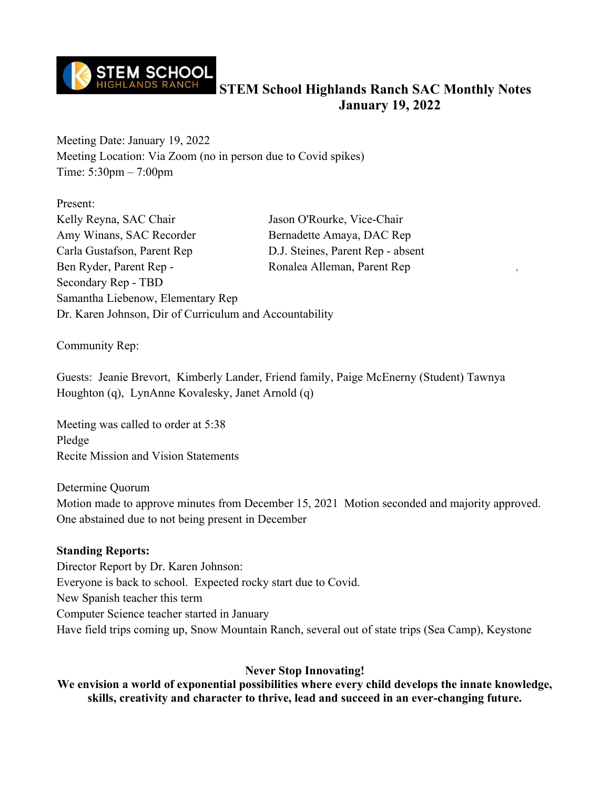

Meeting Date: January 19, 2022 Meeting Location: Via Zoom (no in person due to Covid spikes) Time: 5:30pm – 7:00pm

Present: Kelly Reyna, SAC Chair Jason O'Rourke, Vice-Chair Amy Winans, SAC Recorder Bernadette Amaya, DAC Rep Carla Gustafson, Parent Rep D.J. Steines, Parent Rep - absent Ben Ryder, Parent Rep - Ronalea Alleman, Parent Rep Secondary Rep - TBD Samantha Liebenow, Elementary Rep Dr. Karen Johnson, Dir of Curriculum and Accountability

Community Rep:

Guests: Jeanie Brevort, Kimberly Lander, Friend family, Paige McEnerny (Student) Tawnya Houghton (q), LynAnne Kovalesky, Janet Arnold (q)

Meeting was called to order at 5:38 Pledge Recite Mission and Vision Statements

Determine Quorum Motion made to approve minutes from December 15, 2021 Motion seconded and majority approved. One abstained due to not being present in December

#### **Standing Reports:**

Director Report by Dr. Karen Johnson: Everyone is back to school. Expected rocky start due to Covid. New Spanish teacher this term Computer Science teacher started in January Have field trips coming up, Snow Mountain Ranch, several out of state trips (Sea Camp), Keystone

#### **Never Stop Innovating!**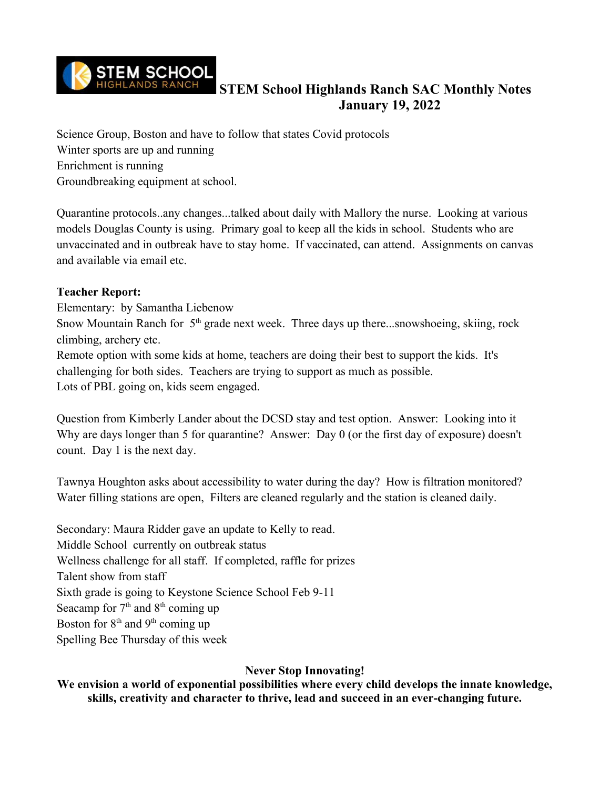

Science Group, Boston and have to follow that states Covid protocols Winter sports are up and running Enrichment is running Groundbreaking equipment at school.

Quarantine protocols..any changes...talked about daily with Mallory the nurse. Looking at various models Douglas County is using. Primary goal to keep all the kids in school. Students who are unvaccinated and in outbreak have to stay home. If vaccinated, can attend. Assignments on canvas and available via email etc.

## **Teacher Report:**

Elementary: by Samantha Liebenow

Snow Mountain Ranch for 5<sup>th</sup> grade next week. Three days up there...snowshoeing, skiing, rock climbing, archery etc.

Remote option with some kids at home, teachers are doing their best to support the kids. It's challenging for both sides. Teachers are trying to support as much as possible. Lots of PBL going on, kids seem engaged.

Question from Kimberly Lander about the DCSD stay and test option. Answer: Looking into it Why are days longer than 5 for quarantine? Answer: Day 0 (or the first day of exposure) doesn't count. Day 1 is the next day.

Tawnya Houghton asks about accessibility to water during the day? How is filtration monitored? Water filling stations are open, Filters are cleaned regularly and the station is cleaned daily.

Secondary: Maura Ridder gave an update to Kelly to read. Middle School currently on outbreak status Wellness challenge for all staff. If completed, raffle for prizes Talent show from staff Sixth grade is going to Keystone Science School Feb 9-11 Seacamp for  $7<sup>th</sup>$  and  $8<sup>th</sup>$  coming up Boston for  $8<sup>th</sup>$  and  $9<sup>th</sup>$  coming up Spelling Bee Thursday of this week

## **Never Stop Innovating!**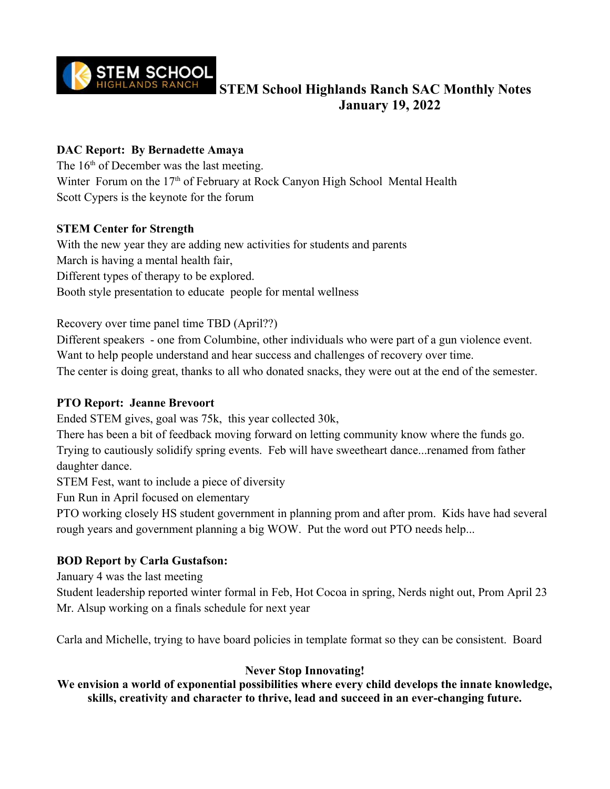

## **DAC Report: By Bernadette Amaya**

The  $16<sup>th</sup>$  of December was the last meeting. Winter Forum on the 17<sup>th</sup> of February at Rock Canyon High School Mental Health Scott Cypers is the keynote for the forum

## **STEM Center for Strength**

With the new year they are adding new activities for students and parents March is having a mental health fair, Different types of therapy to be explored. Booth style presentation to educate people for mental wellness

Recovery over time panel time TBD (April??)

Different speakers - one from Columbine, other individuals who were part of a gun violence event. Want to help people understand and hear success and challenges of recovery over time. The center is doing great, thanks to all who donated snacks, they were out at the end of the semester.

## **PTO Report: Jeanne Brevoort**

Ended STEM gives, goal was 75k, this year collected 30k,

There has been a bit of feedback moving forward on letting community know where the funds go. Trying to cautiously solidify spring events. Feb will have sweetheart dance...renamed from father daughter dance.

STEM Fest, want to include a piece of diversity

Fun Run in April focused on elementary

PTO working closely HS student government in planning prom and after prom. Kids have had several rough years and government planning a big WOW. Put the word out PTO needs help...

## **BOD Report by Carla Gustafson:**

January 4 was the last meeting

Student leadership reported winter formal in Feb, Hot Cocoa in spring, Nerds night out, Prom April 23 Mr. Alsup working on a finals schedule for next year

Carla and Michelle, trying to have board policies in template format so they can be consistent. Board

## **Never Stop Innovating!**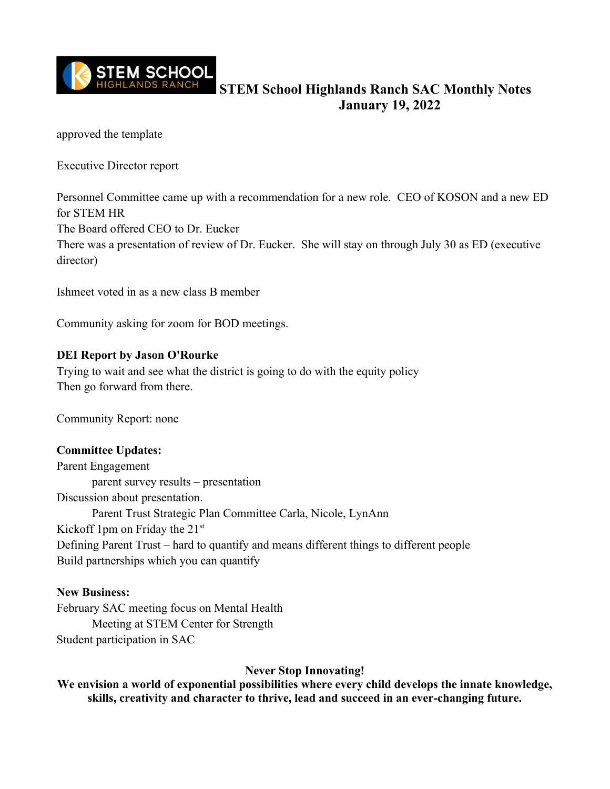

approved the template

Executive Director report

Personnel Committee came up with a recommendation for a new role. CEO of KOSON and a new ED for STEM HR The Board offered CEO to Dr. Eucker There was a presentation of review of Dr. Eucker. She will stay on through July 30 as ED (executive director)

Ishmeet voted in as a new class B member

Community asking for zoom for BOD meetings.

#### **DEI Report by Jason O'Rourke**

Trying to wait and see what the district is going to do with the equity policy Then go forward from there.

Community Report: none

#### **Committee Updates:**

Parent Engagement parent survey results – presentation Discussion about presentation. Parent Trust Strategic Plan Committee Carla, Nicole, LynAnn Kickoff 1pm on Friday the  $21<sup>st</sup>$ Defining Parent Trust – hard to quantify and means different things to different people Build partnerships which you can quantify

#### **New Business:**

February SAC meeting focus on Mental Health Meeting at STEM Center for Strength Student participation in SAC

#### **Never Stop Innovating!**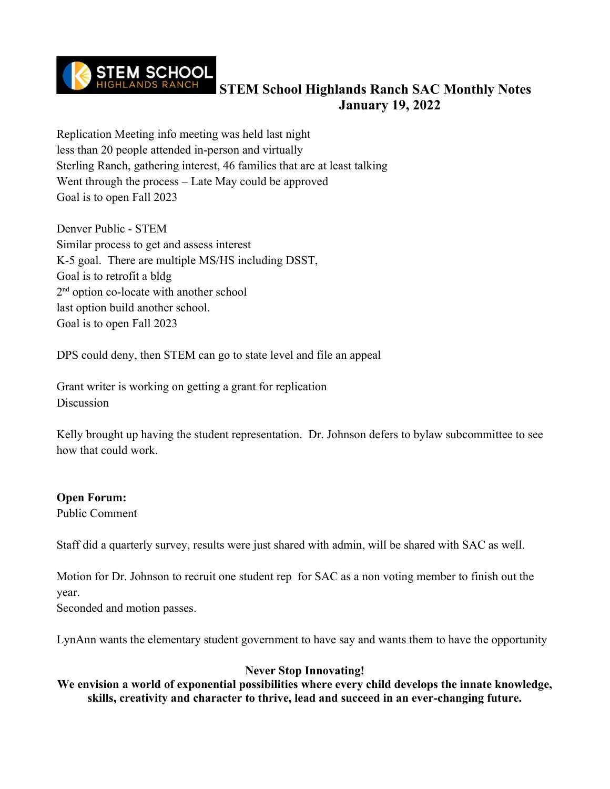

Replication Meeting info meeting was held last night less than 20 people attended in-person and virtually Sterling Ranch, gathering interest, 46 families that are at least talking Went through the process – Late May could be approved Goal is to open Fall 2023

Denver Public - STEM Similar process to get and assess interest K-5 goal. There are multiple MS/HS including DSST, Goal is to retrofit a bldg 2<sup>nd</sup> option co-locate with another school last option build another school. Goal is to open Fall 2023

DPS could deny, then STEM can go to state level and file an appeal

Grant writer is working on getting a grant for replication **Discussion** 

Kelly brought up having the student representation. Dr. Johnson defers to bylaw subcommittee to see how that could work.

## **Open Forum:**

Public Comment

Staff did a quarterly survey, results were just shared with admin, will be shared with SAC as well.

Motion for Dr. Johnson to recruit one student rep for SAC as a non voting member to finish out the year.

Seconded and motion passes.

LynAnn wants the elementary student government to have say and wants them to have the opportunity

## **Never Stop Innovating!**